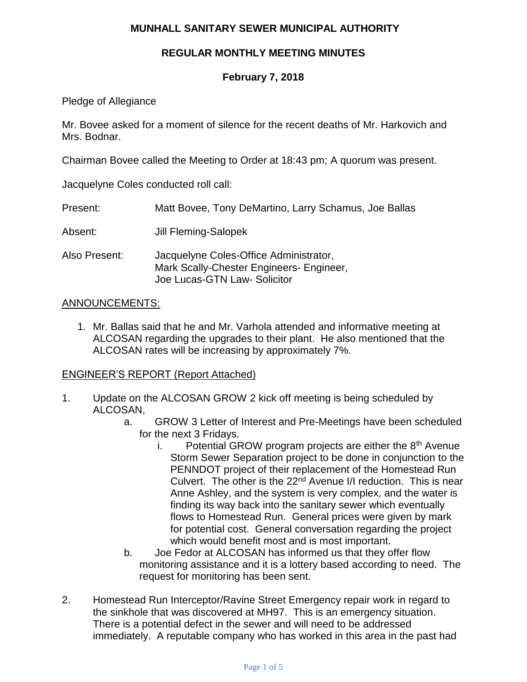## **MUNHALL SANITARY SEWER MUNICIPAL AUTHORITY**

## **REGULAR MONTHLY MEETING MINUTES**

## **February 7, 2018**

Pledge of Allegiance

Mr. Bovee asked for a moment of silence for the recent deaths of Mr. Harkovich and Mrs. Bodnar.

Chairman Bovee called the Meeting to Order at 18:43 pm; A quorum was present.

Jacquelyne Coles conducted roll call:

| Present: |  | Matt Bovee, Tony DeMartino, Larry Schamus, Joe Ballas |  |  |
|----------|--|-------------------------------------------------------|--|--|
|----------|--|-------------------------------------------------------|--|--|

- Absent: Jill Fleming-Salopek
- Also Present: Jacquelyne Coles-Office Administrator, Mark Scally-Chester Engineers- Engineer, Joe Lucas-GTN Law- Solicitor

#### ANNOUNCEMENTS:

1. Mr. Ballas said that he and Mr. Varhola attended and informative meeting at ALCOSAN regarding the upgrades to their plant. He also mentioned that the ALCOSAN rates will be increasing by approximately 7%.

### ENGINEER'S REPORT (Report Attached)

- 1. Update on the ALCOSAN GROW 2 kick off meeting is being scheduled by ALCOSAN,
	- a. GROW 3 Letter of Interest and Pre-Meetings have been scheduled for the next 3 Fridays.
		- i. Potential GROW program projects are either the  $8<sup>th</sup>$  Avenue Storm Sewer Separation project to be done in conjunction to the PENNDOT project of their replacement of the Homestead Run Culvert. The other is the 22<sup>nd</sup> Avenue I/I reduction. This is near Anne Ashley, and the system is very complex, and the water is finding its way back into the sanitary sewer which eventually flows to Homestead Run. General prices were given by mark for potential cost. General conversation regarding the project which would benefit most and is most important.
	- b. Joe Fedor at ALCOSAN has informed us that they offer flow monitoring assistance and it is a lottery based according to need. The request for monitoring has been sent.
- 2. Homestead Run Interceptor/Ravine Street Emergency repair work in regard to the sinkhole that was discovered at MH97. This is an emergency situation. There is a potential defect in the sewer and will need to be addressed immediately. A reputable company who has worked in this area in the past had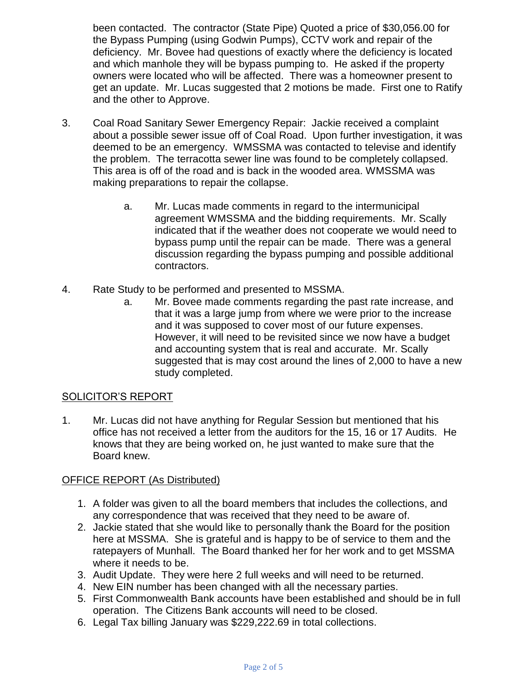been contacted. The contractor (State Pipe) Quoted a price of \$30,056.00 for the Bypass Pumping (using Godwin Pumps), CCTV work and repair of the deficiency. Mr. Bovee had questions of exactly where the deficiency is located and which manhole they will be bypass pumping to. He asked if the property owners were located who will be affected. There was a homeowner present to get an update. Mr. Lucas suggested that 2 motions be made. First one to Ratify and the other to Approve.

- 3. Coal Road Sanitary Sewer Emergency Repair: Jackie received a complaint about a possible sewer issue off of Coal Road. Upon further investigation, it was deemed to be an emergency. WMSSMA was contacted to televise and identify the problem. The terracotta sewer line was found to be completely collapsed. This area is off of the road and is back in the wooded area. WMSSMA was making preparations to repair the collapse.
	- a. Mr. Lucas made comments in regard to the intermunicipal agreement WMSSMA and the bidding requirements. Mr. Scally indicated that if the weather does not cooperate we would need to bypass pump until the repair can be made. There was a general discussion regarding the bypass pumping and possible additional contractors.
- 4. Rate Study to be performed and presented to MSSMA.
	- a. Mr. Bovee made comments regarding the past rate increase, and that it was a large jump from where we were prior to the increase and it was supposed to cover most of our future expenses. However, it will need to be revisited since we now have a budget and accounting system that is real and accurate. Mr. Scally suggested that is may cost around the lines of 2,000 to have a new study completed.

### SOLICITOR'S REPORT

1. Mr. Lucas did not have anything for Regular Session but mentioned that his office has not received a letter from the auditors for the 15, 16 or 17 Audits. He knows that they are being worked on, he just wanted to make sure that the Board knew.

# OFFICE REPORT (As Distributed)

- 1. A folder was given to all the board members that includes the collections, and any correspondence that was received that they need to be aware of.
- 2. Jackie stated that she would like to personally thank the Board for the position here at MSSMA. She is grateful and is happy to be of service to them and the ratepayers of Munhall. The Board thanked her for her work and to get MSSMA where it needs to be.
- 3. Audit Update. They were here 2 full weeks and will need to be returned.
- 4. New EIN number has been changed with all the necessary parties.
- 5. First Commonwealth Bank accounts have been established and should be in full operation. The Citizens Bank accounts will need to be closed.
- 6. Legal Tax billing January was \$229,222.69 in total collections.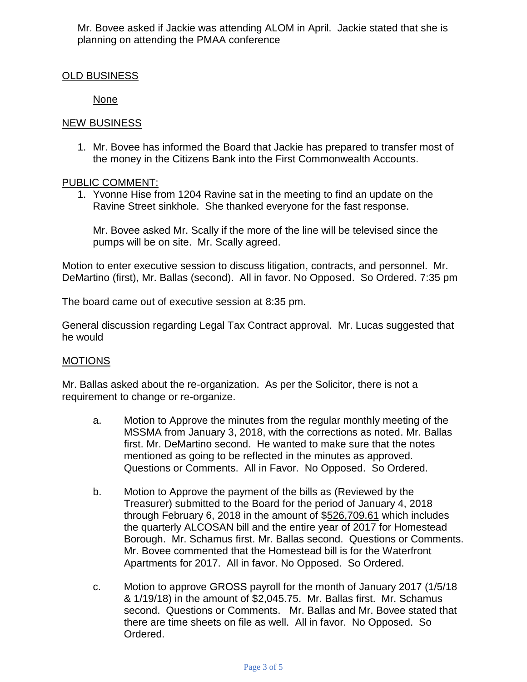Mr. Bovee asked if Jackie was attending ALOM in April. Jackie stated that she is planning on attending the PMAA conference

## OLD BUSINESS

None

### NEW BUSINESS

1. Mr. Bovee has informed the Board that Jackie has prepared to transfer most of the money in the Citizens Bank into the First Commonwealth Accounts.

## PUBLIC COMMENT:

1. Yvonne Hise from 1204 Ravine sat in the meeting to find an update on the Ravine Street sinkhole. She thanked everyone for the fast response.

Mr. Bovee asked Mr. Scally if the more of the line will be televised since the pumps will be on site. Mr. Scally agreed.

Motion to enter executive session to discuss litigation, contracts, and personnel. Mr. DeMartino (first), Mr. Ballas (second). All in favor. No Opposed. So Ordered. 7:35 pm

The board came out of executive session at 8:35 pm.

General discussion regarding Legal Tax Contract approval. Mr. Lucas suggested that he would

### MOTIONS

Mr. Ballas asked about the re-organization. As per the Solicitor, there is not a requirement to change or re-organize.

- a. Motion to Approve the minutes from the regular monthly meeting of the MSSMA from January 3, 2018, with the corrections as noted. Mr. Ballas first. Mr. DeMartino second. He wanted to make sure that the notes mentioned as going to be reflected in the minutes as approved. Questions or Comments. All in Favor. No Opposed. So Ordered.
- b. Motion to Approve the payment of the bills as (Reviewed by the Treasurer) submitted to the Board for the period of January 4, 2018 through February 6, 2018 in the amount of \$526,709.61 which includes the quarterly ALCOSAN bill and the entire year of 2017 for Homestead Borough. Mr. Schamus first. Mr. Ballas second. Questions or Comments. Mr. Bovee commented that the Homestead bill is for the Waterfront Apartments for 2017. All in favor. No Opposed. So Ordered.
- c. Motion to approve GROSS payroll for the month of January 2017 (1/5/18 & 1/19/18) in the amount of \$2,045.75. Mr. Ballas first. Mr. Schamus second. Questions or Comments. Mr. Ballas and Mr. Bovee stated that there are time sheets on file as well. All in favor. No Opposed. So Ordered.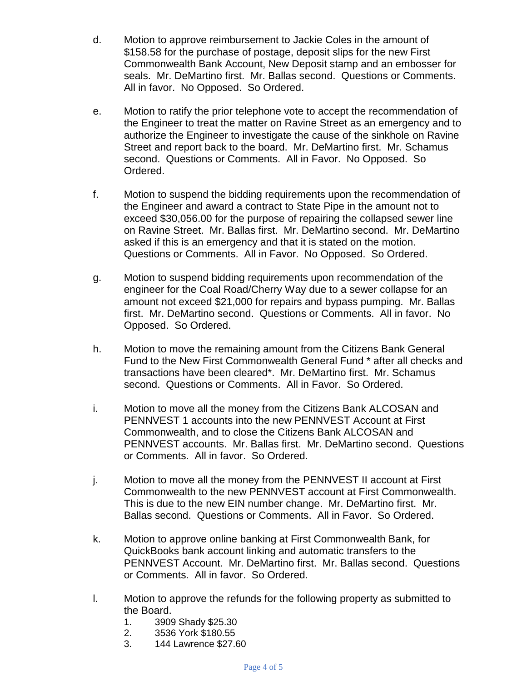- d. Motion to approve reimbursement to Jackie Coles in the amount of \$158.58 for the purchase of postage, deposit slips for the new First Commonwealth Bank Account, New Deposit stamp and an embosser for seals. Mr. DeMartino first. Mr. Ballas second. Questions or Comments. All in favor. No Opposed. So Ordered.
- e. Motion to ratify the prior telephone vote to accept the recommendation of the Engineer to treat the matter on Ravine Street as an emergency and to authorize the Engineer to investigate the cause of the sinkhole on Ravine Street and report back to the board. Mr. DeMartino first. Mr. Schamus second. Questions or Comments. All in Favor. No Opposed. So Ordered.
- f. Motion to suspend the bidding requirements upon the recommendation of the Engineer and award a contract to State Pipe in the amount not to exceed \$30,056.00 for the purpose of repairing the collapsed sewer line on Ravine Street. Mr. Ballas first. Mr. DeMartino second. Mr. DeMartino asked if this is an emergency and that it is stated on the motion. Questions or Comments. All in Favor. No Opposed. So Ordered.
- g. Motion to suspend bidding requirements upon recommendation of the engineer for the Coal Road/Cherry Way due to a sewer collapse for an amount not exceed \$21,000 for repairs and bypass pumping. Mr. Ballas first. Mr. DeMartino second. Questions or Comments. All in favor. No Opposed. So Ordered.
- h. Motion to move the remaining amount from the Citizens Bank General Fund to the New First Commonwealth General Fund \* after all checks and transactions have been cleared\*. Mr. DeMartino first. Mr. Schamus second. Questions or Comments. All in Favor. So Ordered.
- i. Motion to move all the money from the Citizens Bank ALCOSAN and PENNVEST 1 accounts into the new PENNVEST Account at First Commonwealth, and to close the Citizens Bank ALCOSAN and PENNVEST accounts. Mr. Ballas first. Mr. DeMartino second. Questions or Comments. All in favor. So Ordered.
- j. Motion to move all the money from the PENNVEST II account at First Commonwealth to the new PENNVEST account at First Commonwealth. This is due to the new EIN number change. Mr. DeMartino first. Mr. Ballas second. Questions or Comments. All in Favor. So Ordered.
- k. Motion to approve online banking at First Commonwealth Bank, for QuickBooks bank account linking and automatic transfers to the PENNVEST Account. Mr. DeMartino first. Mr. Ballas second. Questions or Comments. All in favor. So Ordered.
- l. Motion to approve the refunds for the following property as submitted to the Board.
	- 1. 3909 Shady \$25.30
	- 2. 3536 York \$180.55
	- 3. 144 Lawrence \$27.60